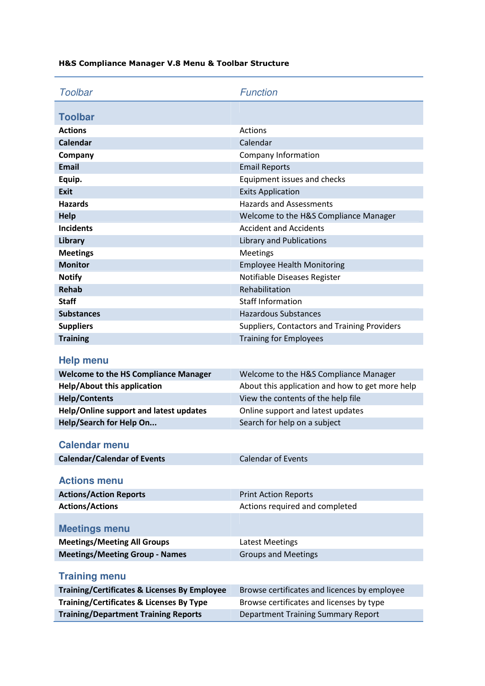| <b>Toolbar</b>                                      | <b>Function</b>                                 |
|-----------------------------------------------------|-------------------------------------------------|
|                                                     |                                                 |
| <b>Toolbar</b>                                      |                                                 |
| <b>Actions</b>                                      | <b>Actions</b>                                  |
| <b>Calendar</b>                                     | Calendar                                        |
| Company                                             | Company Information                             |
| <b>Email</b>                                        | <b>Email Reports</b>                            |
| Equip.                                              | Equipment issues and checks                     |
| <b>Exit</b>                                         | <b>Exits Application</b>                        |
| <b>Hazards</b>                                      | <b>Hazards and Assessments</b>                  |
| <b>Help</b>                                         | Welcome to the H&S Compliance Manager           |
| <b>Incidents</b>                                    | <b>Accident and Accidents</b>                   |
| Library                                             | <b>Library and Publications</b>                 |
| <b>Meetings</b>                                     | <b>Meetings</b>                                 |
| <b>Monitor</b>                                      | <b>Employee Health Monitoring</b>               |
| <b>Notify</b>                                       | Notifiable Diseases Register                    |
| <b>Rehab</b>                                        | Rehabilitation                                  |
| <b>Staff</b>                                        | <b>Staff Information</b>                        |
| <b>Substances</b>                                   | <b>Hazardous Substances</b>                     |
| <b>Suppliers</b>                                    | Suppliers, Contactors and Training Providers    |
| <b>Training</b>                                     | <b>Training for Employees</b>                   |
| Help menu                                           |                                                 |
| <b>Welcome to the HS Compliance Manager</b>         | Welcome to the H&S Compliance Manager           |
| <b>Help/About this application</b>                  | About this application and how to get more help |
| <b>Help/Contents</b>                                | View the contents of the help file              |
| Help/Online support and latest updates              | Online support and latest updates               |
| Help/Search for Help On                             | Search for help on a subject                    |
| <b>Calendar menu</b>                                |                                                 |
| <b>Calendar/Calendar of Events</b>                  | <b>Calendar of Events</b>                       |
| <b>Actions menu</b>                                 |                                                 |
| <b>Actions/Action Reports</b>                       | <b>Print Action Reports</b>                     |
| <b>Actions/Actions</b>                              | Actions required and completed                  |
|                                                     |                                                 |
| <b>Meetings menu</b>                                |                                                 |
| <b>Meetings/Meeting All Groups</b>                  | <b>Latest Meetings</b>                          |
| <b>Meetings/Meeting Group - Names</b>               | <b>Groups and Meetings</b>                      |
|                                                     |                                                 |
| <b>Training menu</b>                                |                                                 |
| Training/Certificates & Licenses By Employee        | Browse certificates and licences by employee    |
| <b>Training/Certificates &amp; Licenses By Type</b> | Browse certificates and licenses by type        |
| <b>Training/Department Training Reports</b>         | Department Training Summary Report              |

## H&S Compliance Manager V.8 Menu & Toolbar Structure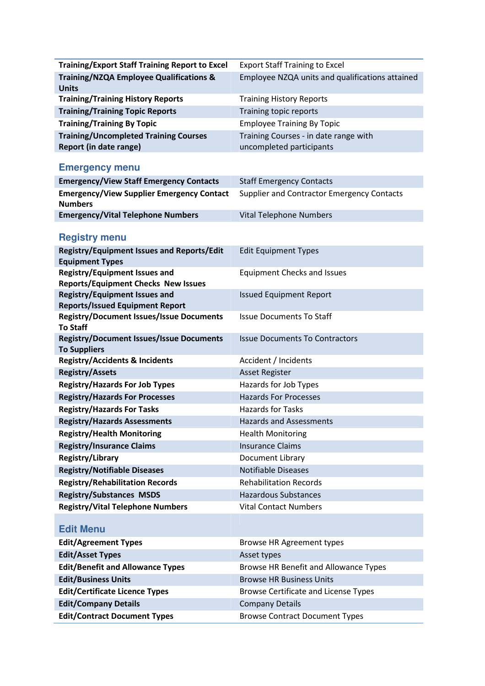| <b>Training/Export Staff Training Report to Excel</b>          | <b>Export Staff Training to Excel</b>             |
|----------------------------------------------------------------|---------------------------------------------------|
| <b>Training/NZQA Employee Qualifications &amp;</b>             | Employee NZQA units and qualifications attained   |
| <b>Units</b>                                                   |                                                   |
| <b>Training/Training History Reports</b>                       | <b>Training History Reports</b>                   |
| <b>Training/Training Topic Reports</b>                         | Training topic reports                            |
| <b>Training/Training By Topic</b>                              | <b>Employee Training By Topic</b>                 |
| <b>Training/Uncompleted Training Courses</b>                   | Training Courses - in date range with             |
| Report (in date range)                                         | uncompleted participants                          |
| <b>Emergency menu</b>                                          |                                                   |
| <b>Emergency/View Staff Emergency Contacts</b>                 | <b>Staff Emergency Contacts</b>                   |
| <b>Emergency/View Supplier Emergency Contact</b>               | <b>Supplier and Contractor Emergency Contacts</b> |
| <b>Numbers</b>                                                 |                                                   |
| <b>Emergency/Vital Telephone Numbers</b>                       | <b>Vital Telephone Numbers</b>                    |
|                                                                |                                                   |
| <b>Registry menu</b>                                           |                                                   |
| <b>Registry/Equipment Issues and Reports/Edit</b>              | <b>Edit Equipment Types</b>                       |
| <b>Equipment Types</b><br><b>Registry/Equipment Issues and</b> |                                                   |
| <b>Reports/Equipment Checks New Issues</b>                     | <b>Equipment Checks and Issues</b>                |
| <b>Registry/Equipment Issues and</b>                           | <b>Issued Equipment Report</b>                    |
| <b>Reports/Issued Equipment Report</b>                         |                                                   |
| <b>Registry/Document Issues/Issue Documents</b>                | <b>Issue Documents To Staff</b>                   |
| <b>To Staff</b>                                                |                                                   |
| <b>Registry/Document Issues/Issue Documents</b>                | <b>Issue Documents To Contractors</b>             |
| <b>To Suppliers</b>                                            |                                                   |
| <b>Registry/Accidents &amp; Incidents</b>                      | Accident / Incidents                              |
| <b>Registry/Assets</b>                                         | <b>Asset Register</b>                             |
| <b>Registry/Hazards For Job Types</b>                          | Hazards for Job Types                             |
| <b>Registry/Hazards For Processes</b>                          | <b>Hazards For Processes</b>                      |
| <b>Registry/Hazards For Tasks</b>                              | <b>Hazards for Tasks</b>                          |
| <b>Registry/Hazards Assessments</b>                            | <b>Hazards and Assessments</b>                    |
| <b>Registry/Health Monitoring</b>                              | <b>Health Monitoring</b>                          |
| <b>Registry/Insurance Claims</b>                               | <b>Insurance Claims</b>                           |
| Registry/Library                                               | Document Library                                  |
| <b>Registry/Notifiable Diseases</b>                            | <b>Notifiable Diseases</b>                        |
| <b>Registry/Rehabilitation Records</b>                         | <b>Rehabilitation Records</b>                     |
| <b>Registry/Substances MSDS</b>                                | <b>Hazardous Substances</b>                       |
| <b>Registry/Vital Telephone Numbers</b>                        | <b>Vital Contact Numbers</b>                      |
| <b>Edit Menu</b>                                               |                                                   |
| <b>Edit/Agreement Types</b>                                    | Browse HR Agreement types                         |
| <b>Edit/Asset Types</b>                                        | Asset types                                       |
| <b>Edit/Benefit and Allowance Types</b>                        | Browse HR Benefit and Allowance Types             |
| <b>Edit/Business Units</b>                                     | <b>Browse HR Business Units</b>                   |
| <b>Edit/Certificate Licence Types</b>                          | Browse Certificate and License Types              |
| <b>Edit/Company Details</b>                                    | <b>Company Details</b>                            |
| <b>Edit/Contract Document Types</b>                            | <b>Browse Contract Document Types</b>             |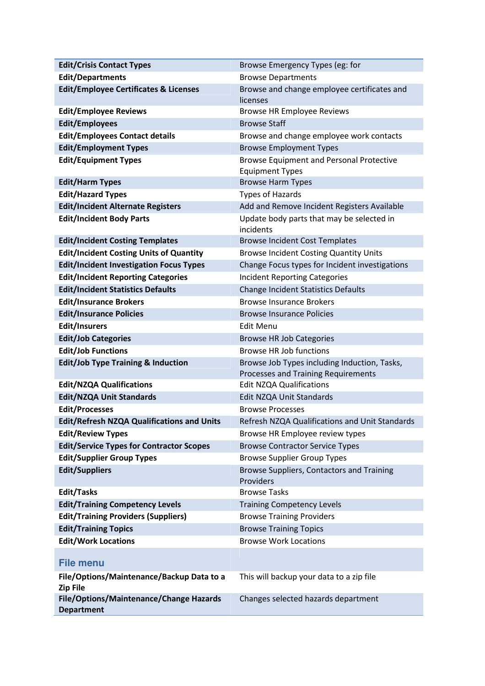| <b>Edit/Crisis Contact Types</b>                                              | Browse Emergency Types (eg: for                                              |
|-------------------------------------------------------------------------------|------------------------------------------------------------------------------|
| <b>Edit/Departments</b>                                                       | <b>Browse Departments</b>                                                    |
| <b>Edit/Employee Certificates &amp; Licenses</b>                              | Browse and change employee certificates and                                  |
|                                                                               | licenses                                                                     |
| <b>Edit/Employee Reviews</b>                                                  | <b>Browse HR Employee Reviews</b>                                            |
| <b>Edit/Employees</b>                                                         | <b>Browse Staff</b>                                                          |
| <b>Edit/Employees Contact details</b>                                         | Browse and change employee work contacts                                     |
| <b>Edit/Employment Types</b>                                                  | <b>Browse Employment Types</b>                                               |
| <b>Edit/Equipment Types</b>                                                   | <b>Browse Equipment and Personal Protective</b><br><b>Equipment Types</b>    |
| <b>Edit/Harm Types</b>                                                        | <b>Browse Harm Types</b>                                                     |
| <b>Edit/Hazard Types</b>                                                      | <b>Types of Hazards</b>                                                      |
| <b>Edit/Incident Alternate Registers</b>                                      | Add and Remove Incident Registers Available                                  |
| <b>Edit/Incident Body Parts</b>                                               | Update body parts that may be selected in<br>incidents                       |
| <b>Edit/Incident Costing Templates</b>                                        | <b>Browse Incident Cost Templates</b>                                        |
| <b>Edit/Incident Costing Units of Quantity</b>                                | <b>Browse Incident Costing Quantity Units</b>                                |
| <b>Edit/Incident Investigation Focus Types</b>                                | Change Focus types for Incident investigations                               |
| <b>Edit/Incident Reporting Categories</b>                                     | <b>Incident Reporting Categories</b>                                         |
| <b>Edit/Incident Statistics Defaults</b>                                      | <b>Change Incident Statistics Defaults</b>                                   |
| <b>Edit/Insurance Brokers</b>                                                 | <b>Browse Insurance Brokers</b>                                              |
| <b>Edit/Insurance Policies</b>                                                | <b>Browse Insurance Policies</b>                                             |
| <b>Edit/Insurers</b>                                                          | <b>Edit Menu</b>                                                             |
| <b>Edit/Job Categories</b>                                                    | <b>Browse HR Job Categories</b>                                              |
| <b>Edit/Job Functions</b>                                                     | <b>Browse HR Job functions</b>                                               |
| <b>Edit/Job Type Training &amp; Induction</b>                                 | Browse Job Types including Induction, Tasks,                                 |
|                                                                               | Processes and Training Requirements                                          |
| <b>Edit/NZQA Qualifications</b>                                               | <b>Edit NZQA Qualifications</b>                                              |
| <b>Edit/NZQA Unit Standards</b>                                               | Edit NZQA Unit Standards<br><b>Browse Processes</b>                          |
| <b>Edit/Processes</b>                                                         |                                                                              |
| <b>Edit/Refresh NZQA Qualifications and Units</b><br><b>Edit/Review Types</b> | Refresh NZQA Qualifications and Unit Standards                               |
| <b>Edit/Service Types for Contractor Scopes</b>                               | Browse HR Employee review types                                              |
| <b>Edit/Supplier Group Types</b>                                              | <b>Browse Contractor Service Types</b><br><b>Browse Supplier Group Types</b> |
| <b>Edit/Suppliers</b>                                                         | Browse Suppliers, Contactors and Training                                    |
|                                                                               | Providers                                                                    |
| <b>Edit/Tasks</b>                                                             | <b>Browse Tasks</b>                                                          |
| <b>Edit/Training Competency Levels</b>                                        | <b>Training Competency Levels</b>                                            |
| <b>Edit/Training Providers (Suppliers)</b>                                    | <b>Browse Training Providers</b>                                             |
| <b>Edit/Training Topics</b>                                                   | <b>Browse Training Topics</b>                                                |
| <b>Edit/Work Locations</b>                                                    | <b>Browse Work Locations</b>                                                 |
|                                                                               |                                                                              |
| <b>File menu</b>                                                              |                                                                              |
| File/Options/Maintenance/Backup Data to a<br><b>Zip File</b>                  | This will backup your data to a zip file                                     |
| File/Options/Maintenance/Change Hazards<br><b>Department</b>                  | Changes selected hazards department                                          |
|                                                                               |                                                                              |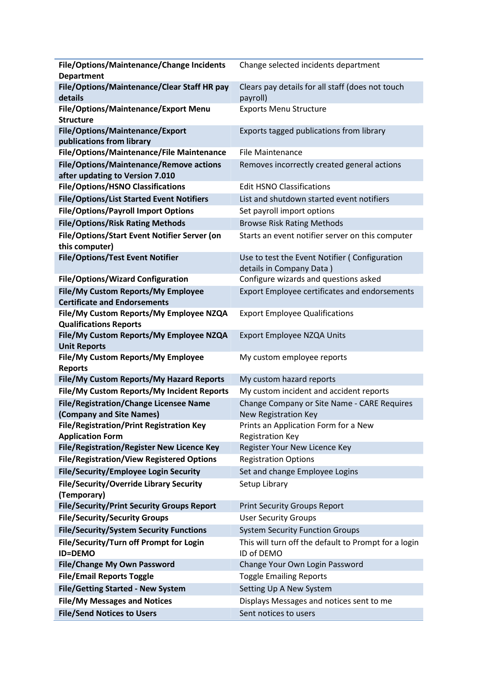| File/Options/Maintenance/Change Incidents                      | Change selected incidents department                 |
|----------------------------------------------------------------|------------------------------------------------------|
| <b>Department</b>                                              |                                                      |
| File/Options/Maintenance/Clear Staff HR pay                    | Clears pay details for all staff (does not touch     |
| details                                                        | payroll)                                             |
| File/Options/Maintenance/Export Menu                           | <b>Exports Menu Structure</b>                        |
| <b>Structure</b>                                               |                                                      |
| File/Options/Maintenance/Export                                | Exports tagged publications from library             |
| publications from library                                      |                                                      |
| File/Options/Maintenance/File Maintenance                      | <b>File Maintenance</b>                              |
| File/Options/Maintenance/Remove actions                        | Removes incorrectly created general actions          |
| after updating to Version 7.010                                |                                                      |
| <b>File/Options/HSNO Classifications</b>                       | <b>Edit HSNO Classifications</b>                     |
| <b>File/Options/List Started Event Notifiers</b>               | List and shutdown started event notifiers            |
| <b>File/Options/Payroll Import Options</b>                     | Set payroll import options                           |
| <b>File/Options/Risk Rating Methods</b>                        | <b>Browse Risk Rating Methods</b>                    |
| File/Options/Start Event Notifier Server (on                   | Starts an event notifier server on this computer     |
| this computer)                                                 |                                                      |
| <b>File/Options/Test Event Notifier</b>                        | Use to test the Event Notifier (Configuration        |
|                                                                | details in Company Data)                             |
| <b>File/Options/Wizard Configuration</b>                       | Configure wizards and questions asked                |
| File/My Custom Reports/My Employee                             | <b>Export Employee certificates and endorsements</b> |
| <b>Certificate and Endorsements</b>                            |                                                      |
| File/My Custom Reports/My Employee NZQA                        | <b>Export Employee Qualifications</b>                |
| <b>Qualifications Reports</b>                                  |                                                      |
| File/My Custom Reports/My Employee NZQA<br><b>Unit Reports</b> | Export Employee NZQA Units                           |
| File/My Custom Reports/My Employee                             | My custom employee reports                           |
| <b>Reports</b>                                                 |                                                      |
| File/My Custom Reports/My Hazard Reports                       | My custom hazard reports                             |
| File/My Custom Reports/My Incident Reports                     | My custom incident and accident reports              |
| <b>File/Registration/Change Licensee Name</b>                  | Change Company or Site Name - CARE Requires          |
| (Company and Site Names)                                       | New Registration Key                                 |
| <b>File/Registration/Print Registration Key</b>                | Prints an Application Form for a New                 |
| <b>Application Form</b>                                        | <b>Registration Key</b>                              |
| File/Registration/Register New Licence Key                     | Register Your New Licence Key                        |
| <b>File/Registration/View Registered Options</b>               | <b>Registration Options</b>                          |
| File/Security/Employee Login Security                          | Set and change Employee Logins                       |
| File/Security/Override Library Security                        | Setup Library                                        |
| (Temporary)                                                    |                                                      |
| <b>File/Security/Print Security Groups Report</b>              | <b>Print Security Groups Report</b>                  |
| <b>File/Security/Security Groups</b>                           | <b>User Security Groups</b>                          |
| <b>File/Security/System Security Functions</b>                 | <b>System Security Function Groups</b>               |
| File/Security/Turn off Prompt for Login                        | This will turn off the default to Prompt for a login |
| <b>ID=DEMO</b>                                                 | ID of DEMO                                           |
| <b>File/Change My Own Password</b>                             | Change Your Own Login Password                       |
| <b>File/Email Reports Toggle</b>                               | <b>Toggle Emailing Reports</b>                       |
| <b>File/Getting Started - New System</b>                       | Setting Up A New System                              |
| <b>File/My Messages and Notices</b>                            | Displays Messages and notices sent to me             |
| <b>File/Send Notices to Users</b>                              | Sent notices to users                                |
|                                                                |                                                      |